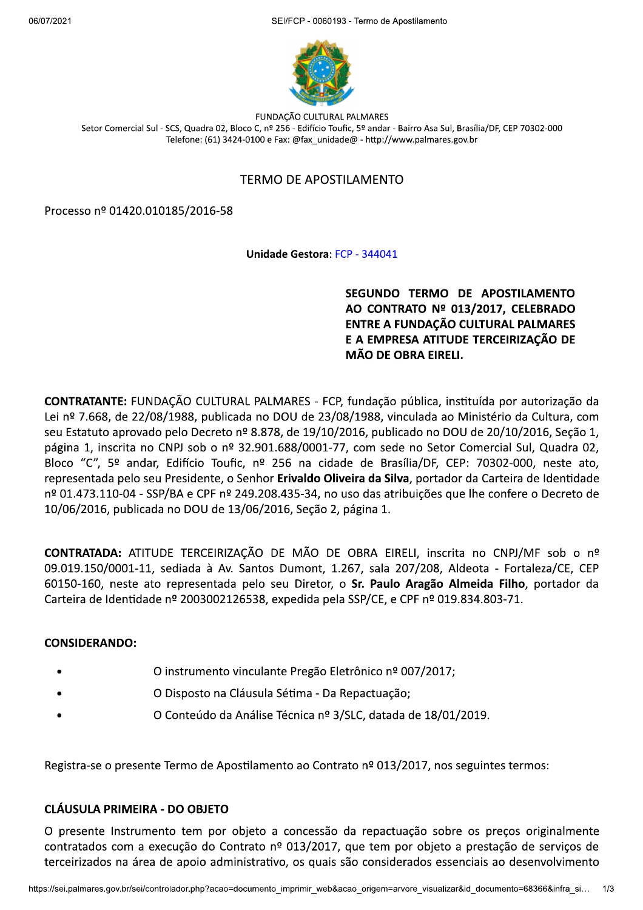$2021$ FCP - 0060193 - Termo de Apostilamento



FUNDAÇÃO CULTURAL PALMARES Setor Comercial Sul - SCS, Quadra 02, Bloco C, nº 256 - Edifício Toufic, 5º andar - Bairro Asa Sul, Brasília/DF, CEP 70302-000 Telefone: (61) 3424-0100 e Fax: @fax unidade@ - http://www.palmares.gov.br

## TERMO DE APOSTILAMENTO

Processo nº 01420.010185/2016-58

## Unidade Gestora: FCP - 344041

 ${{\sf SEGUNDO}}$  TERMO DE APOSTILAMENTO<br>AO CONTRATO Nº 013/2017, CELEBRADO<br>ENTRE A FUNDACÃO CULTURAL PALMARES E A EMPRESA ATITUDE TERCEIRIZAÇÃO DE **MÃO DE OBRA EIRELI.** 

CONTRATANTE: FUNDAÇÃO CULTURAL PALMARES - FCP, fundação pública, instituída por autorização da Lei nº 7.668, de 22/08/1988, publicada no DOU de 23/08/1988, vinculada ao Ministério da Cultura, com seu Estatuto aprovado pelo Decreto nº 8.878, de 19/10/2016, publicado no DOU de 20/10/2016, Seção 1, página 1, inscrita no CNPJ sob o nº 32.901.688/0001-77, com sede no Setor Comercial Sul, Quadra 02, Bloco "C", 5º andar, Edifício Toufic, nº 256 na cidade de Brasília/DF, CEP: 70302-000, neste ato, representada pelo seu Presidente, o Senhor Erivaldo Oliveira da Silva, portador da Carteira de Identidade nº 01.473.110-04 - SSP/BA e CPF nº 249.208.435-34, no uso das atribuicões que lhe confere o Decreto de 10/06/2016, publicada no DOU de 13/06/2016, Seção 2, página 1.

CONTRATADA: ATITUDE TERCEIRIZAÇÃO DE MÃO DE OBRA EIRELI, inscrita no CNPJ/MF sob o nº 09.019.150/0001-11, sediada à Av. Santos Dumont, 1.267, sala 207/208, Aldeota - Fortaleza/CE, CEP 60150-160, neste ato representada pelo seu Diretor, o Sr. Paulo Aragão Almeida Filho, portador da Carteira de Identidade nº 2003002126538, expedida pela SSP/CE, e CPF nº 019.834.803-71.

## CONSIDERANDO:

- O instrumento vinculante Pregão Eletrônico nº 007/2017;
- O Disposto na Cláusula Sétima Da Repactuação;
- O Conteúdo da Análise Técnica nº 3/SLC, datada de 18/01/2019.

Registra-se o presente Termo de Apostilamento ao Contrato nº 013/2017, nos seguintes termos:

## CLÁUSULA PRIMEIRA - DO OBJETO

RA - DO OBJETO<br>mento tem por objeto a concessão da repactuação sobre os preços originalmente<br>execução do Contrato nº 013/2017, que tem por objeto a prestação de serviços de<br>ea de apoio administrativo, os quais são consider 0 presente Instrumento tem por objeto a concessão da repactuação sobre os preços originalmente contratados com a execução do Contrato nº 013/2017, que tem por objeto a prestação de serviços de terceirizados na área de apoio administrativo, os quais são considerados essenciais ao desenvolvimento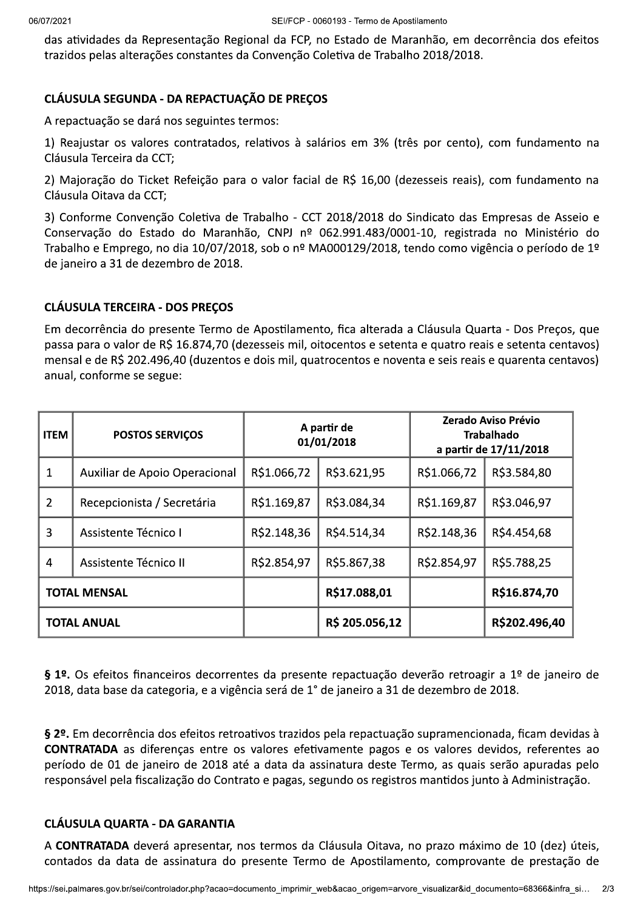das atividades da Representação Regional da FCP, no Estado de Maranhão, em decorrência dos efeitos trazidos pelas alterações constantes da Convenção Coletiva de Trabalho 2018/2018.

# CLÁUSULA SEGUNDA - DA REPACTUAÇÃO DE PREÇOS

A repactuação se dará nos seguintes termos:

1) Reajustar os valores contratados, relativos à salários em 3% (três por cento), com fundamento na Cláusula Terceira da CCT;

2) Majoração do Ticket Refeição para o valor facial de R\$ 16,00 (dezesseis reais), com fundamento na Cláusula Oitava da CCT;

3) Conforme Convenção Coletiva de Trabalho - CCT 2018/2018 do Sindicato das Empresas de Asseio e Conservação do Estado do Maranhão, CNPJ nº 062.991.483/0001-10, registrada no Ministério do Trabalho e Emprego, no dia 10/07/2018, sob o nº MA000129/2018, tendo como vigência o período de 1º de janeiro a 31 de dezembro de 2018.

## CLÁUSULA TERCEIRA - DOS PRECOS

Em decorrência do presente Termo de Apostilamento, fica alterada a Cláusula Quarta - Dos Preços, que passa para o valor de R\$ 16.874,70 (dezesseis mil, oitocentos e setenta e quatro reais e setenta centavos) mensal e de R\$ 202.496,40 (duzentos e dois mil, quatrocentos e noventa e seis reais e quarenta centavos) anual, conforme se segue:

| <b>ITEM</b>         | <b>POSTOS SERVIÇOS</b>        | A partir de<br>01/01/2018 |                | Zerado Aviso Prévio<br><b>Trabalhado</b><br>a partir de 17/11/2018 |               |
|---------------------|-------------------------------|---------------------------|----------------|--------------------------------------------------------------------|---------------|
|                     | Auxiliar de Apoio Operacional | R\$1.066,72               | R\$3.621,95    | R\$1.066,72                                                        | R\$3.584,80   |
| $\mathcal{P}$       | Recepcionista / Secretária    | R\$1.169,87               | R\$3.084,34    | R\$1.169,87                                                        | R\$3.046,97   |
| 3                   | Assistente Técnico I          | R\$2.148,36               | R\$4.514,34    | R\$2.148,36                                                        | R\$4.454,68   |
| 4                   | Assistente Técnico II         | R\$2.854,97               | R\$5.867,38    | R\$2.854,97                                                        | R\$5.788,25   |
| <b>TOTAL MENSAL</b> |                               |                           | R\$17.088,01   |                                                                    | R\$16.874,70  |
| <b>TOTAL ANUAL</b>  |                               |                           | R\$ 205.056,12 |                                                                    | R\$202.496,40 |

§ 1º. Os efeitos financeiros decorrentes da presente repactuação deverão retroagir a 1º de janeiro de 2018, data base da categoria, e a vigência será de 1° de janeiro a 31 de dezembro de 2018.

§ 2º. Em decorrência dos efeitos retroativos trazidos pela repactuação supramencionada, ficam devidas à CONTRATADA as diferenças entre os valores efetivamente pagos e os valores devidos, referentes ao período de 01 de janeiro de 2018 até a data da assinatura deste Termo, as quais serão apuradas pelo responsável pela fiscalização do Contrato e pagas, segundo os registros mantidos junto à Administração.

## CLÁUSULA QUARTA - DA GARANTIA

**\ - DA GARANTIA**<br>verá apresentar, nos termos da Cláusula Oitava, no prazo máximo de 10 (dez) úteis,<br>de assinatura do presente Termo de Apostilamento, comprovante de prestação de<br>controlador.php?acao=documento\_imprimir\_web A CONTRATADA deverá apresentar, nos termos da Cláusula Oitava, no prazo máximo de 10 (dez) úteis, contados da data de assinatura do presente Termo de Apostilamento, comprovante de prestação de